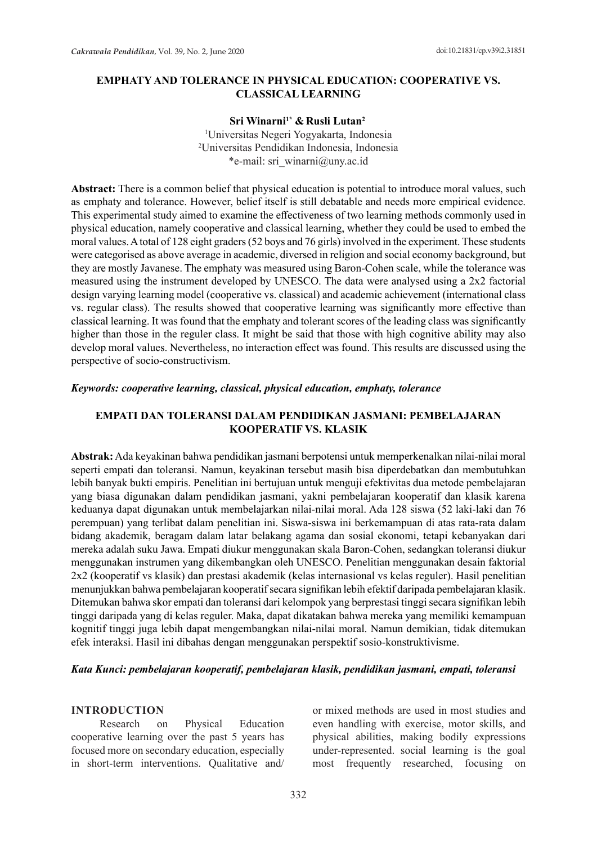# **EMPHATY AND TOLERANCE IN PHYSICAL EDUCATION: COOPERATIVE VS. CLASSICAL LEARNING**

### **Sri Winarni1\* & Rusli Lutan2**

1 Universitas Negeri Yogyakarta, Indonesia 2 Universitas Pendidikan Indonesia, Indonesia \*e-mail: sri\_winarni@uny.ac.id

**Abstract:** There is a common belief that physical education is potential to introduce moral values, such as emphaty and tolerance. However, belief itself is still debatable and needs more empirical evidence. This experimental study aimed to examine the effectiveness of two learning methods commonly used in physical education, namely cooperative and classical learning, whether they could be used to embed the moral values. A total of 128 eight graders (52 boys and 76 girls) involved in the experiment. These students were categorised as above average in academic, diversed in religion and social economy background, but they are mostly Javanese. The emphaty was measured using Baron-Cohen scale, while the tolerance was measured using the instrument developed by UNESCO. The data were analysed using a 2x2 factorial design varying learning model (cooperative vs. classical) and academic achievement (international class vs. regular class). The results showed that cooperative learning was significantly more effective than classical learning. It was found that the emphaty and tolerant scores of the leading class was significantly higher than those in the reguler class. It might be said that those with high cognitive ability may also develop moral values. Nevertheless, no interaction effect was found. This results are discussed using the perspective of socio-constructivism.

### *Keywords: cooperative learning, classical, physical education, emphaty, tolerance*

## **EMPATI DAN TOLERANSI DALAM PENDIDIKAN JASMANI: PEMBELAJARAN KOOPERATIF VS. KLASIK**

**Abstrak:** Ada keyakinan bahwa pendidikan jasmani berpotensi untuk memperkenalkan nilai-nilai moral seperti empati dan toleransi. Namun, keyakinan tersebut masih bisa diperdebatkan dan membutuhkan lebih banyak bukti empiris. Penelitian ini bertujuan untuk menguji efektivitas dua metode pembelajaran yang biasa digunakan dalam pendidikan jasmani, yakni pembelajaran kooperatif dan klasik karena keduanya dapat digunakan untuk membelajarkan nilai-nilai moral. Ada 128 siswa (52 laki-laki dan 76 perempuan) yang terlibat dalam penelitian ini. Siswa-siswa ini berkemampuan di atas rata-rata dalam bidang akademik, beragam dalam latar belakang agama dan sosial ekonomi, tetapi kebanyakan dari mereka adalah suku Jawa. Empati diukur menggunakan skala Baron-Cohen, sedangkan toleransi diukur menggunakan instrumen yang dikembangkan oleh UNESCO. Penelitian menggunakan desain faktorial 2x2 (kooperatif vs klasik) dan prestasi akademik (kelas internasional vs kelas reguler). Hasil penelitian menunjukkan bahwa pembelajaran kooperatif secara signifikan lebih efektif daripada pembelajaran klasik. Ditemukan bahwa skor empati dan toleransi dari kelompok yang berprestasi tinggi secara signifikan lebih tinggi daripada yang di kelas reguler. Maka, dapat dikatakan bahwa mereka yang memiliki kemampuan kognitif tinggi juga lebih dapat mengembangkan nilai-nilai moral. Namun demikian, tidak ditemukan efek interaksi. Hasil ini dibahas dengan menggunakan perspektif sosio-konstruktivisme.

### *Kata Kunci: pembelajaran kooperatif, pembelajaran klasik, pendidikan jasmani, empati, toleransi*

### **INTRODUCTION**

Research on Physical Education cooperative learning over the past 5 years has focused more on secondary education, especially in short-term interventions. Qualitative and/ or mixed methods are used in most studies and even handling with exercise, motor skills, and physical abilities, making bodily expressions under-represented. social learning is the goal most frequently researched, focusing on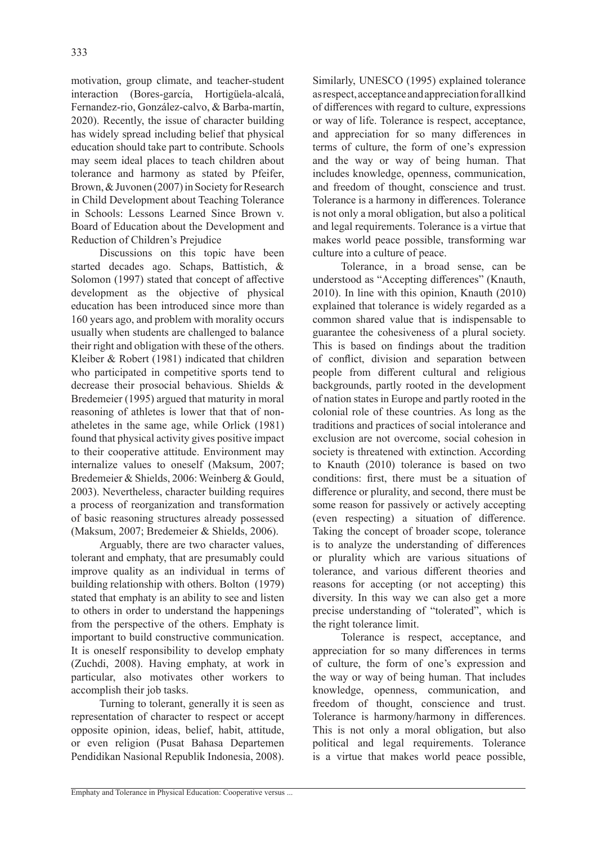motivation, group climate, and teacher-student interaction (Bores-garcía, Hortigüela-alcalá, Fernandez-rio, González-calvo, & Barba-martín, 2020). Recently, the issue of character building has widely spread including belief that physical education should take part to contribute. Schools may seem ideal places to teach children about tolerance and harmony as stated by Pfeifer, Brown, & Juvonen (2007) in Society for Research in Child Development about Teaching Tolerance in Schools: Lessons Learned Since Brown v. Board of Education about the Development and Reduction of Children's Prejudice

Discussions on this topic have been started decades ago. Schaps, Battistich, & Solomon (1997) stated that concept of affective development as the objective of physical education has been introduced since more than 160 years ago, and problem with morality occurs usually when students are challenged to balance their right and obligation with these of the others. Kleiber & Robert (1981) indicated that children who participated in competitive sports tend to decrease their prosocial behavious. Shields & Bredemeier (1995) argued that maturity in moral reasoning of athletes is lower that that of nonatheletes in the same age, while Orlick (1981) found that physical activity gives positive impact to their cooperative attitude. Environment may internalize values to oneself (Maksum, 2007; Bredemeier & Shields, 2006: Weinberg & Gould, 2003). Nevertheless, character building requires a process of reorganization and transformation of basic reasoning structures already possessed (Maksum, 2007; Bredemeier & Shields, 2006).

Arguably, there are two character values, tolerant and emphaty, that are presumably could improve quality as an individual in terms of building relationship with others. Bolton (1979) stated that emphaty is an ability to see and listen to others in order to understand the happenings from the perspective of the others. Emphaty is important to build constructive communication. It is oneself responsibility to develop emphaty (Zuchdi, 2008). Having emphaty, at work in particular, also motivates other workers to accomplish their job tasks.

Turning to tolerant, generally it is seen as representation of character to respect or accept opposite opinion, ideas, belief, habit, attitude, or even religion (Pusat Bahasa Departemen Pendidikan Nasional Republik Indonesia, 2008). Similarly, UNESCO (1995) explained tolerance as respect, acceptance and appreciation for all kind of differences with regard to culture, expressions or way of life. Tolerance is respect, acceptance, and appreciation for so many differences in terms of culture, the form of one's expression and the way or way of being human. That includes knowledge, openness, communication, and freedom of thought, conscience and trust. Tolerance is a harmony in differences. Tolerance is not only a moral obligation, but also a political and legal requirements. Tolerance is a virtue that makes world peace possible, transforming war culture into a culture of peace.

Tolerance, in a broad sense, can be understood as "Accepting differences" (Knauth, 2010). In line with this opinion, Knauth (2010) explained that tolerance is widely regarded as a common shared value that is indispensable to guarantee the cohesiveness of a plural society. This is based on findings about the tradition of conflict, division and separation between people from different cultural and religious backgrounds, partly rooted in the development of nation states in Europe and partly rooted in the colonial role of these countries. As long as the traditions and practices of social intolerance and exclusion are not overcome, social cohesion in society is threatened with extinction. According to Knauth (2010) tolerance is based on two conditions: first, there must be a situation of difference or plurality, and second, there must be some reason for passively or actively accepting (even respecting) a situation of difference. Taking the concept of broader scope, tolerance is to analyze the understanding of differences or plurality which are various situations of tolerance, and various different theories and reasons for accepting (or not accepting) this diversity. In this way we can also get a more precise understanding of "tolerated", which is the right tolerance limit.

Tolerance is respect, acceptance, and appreciation for so many differences in terms of culture, the form of one's expression and the way or way of being human. That includes knowledge, openness, communication, and freedom of thought, conscience and trust. Tolerance is harmony/harmony in differences. This is not only a moral obligation, but also political and legal requirements. Tolerance is a virtue that makes world peace possible,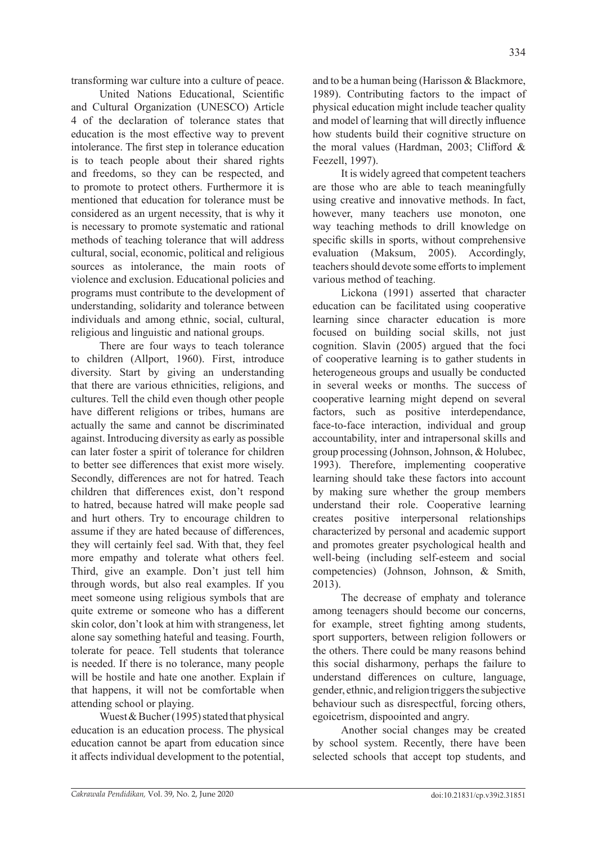transforming war culture into a culture of peace.

United Nations Educational, Scientific and Cultural Organization (UNESCO) Article 4 of the declaration of tolerance states that education is the most effective way to prevent intolerance. The first step in tolerance education is to teach people about their shared rights and freedoms, so they can be respected, and to promote to protect others. Furthermore it is mentioned that education for tolerance must be considered as an urgent necessity, that is why it is necessary to promote systematic and rational methods of teaching tolerance that will address cultural, social, economic, political and religious sources as intolerance, the main roots of violence and exclusion. Educational policies and programs must contribute to the development of understanding, solidarity and tolerance between individuals and among ethnic, social, cultural, religious and linguistic and national groups.

There are four ways to teach tolerance to children (Allport, 1960). First, introduce diversity. Start by giving an understanding that there are various ethnicities, religions, and cultures. Tell the child even though other people have different religions or tribes, humans are actually the same and cannot be discriminated against. Introducing diversity as early as possible can later foster a spirit of tolerance for children to better see differences that exist more wisely. Secondly, differences are not for hatred. Teach children that differences exist, don't respond to hatred, because hatred will make people sad and hurt others. Try to encourage children to assume if they are hated because of differences, they will certainly feel sad. With that, they feel more empathy and tolerate what others feel. Third, give an example. Don't just tell him through words, but also real examples. If you meet someone using religious symbols that are quite extreme or someone who has a different skin color, don't look at him with strangeness, let alone say something hateful and teasing. Fourth, tolerate for peace. Tell students that tolerance is needed. If there is no tolerance, many people will be hostile and hate one another. Explain if that happens, it will not be comfortable when attending school or playing.

Wuest & Bucher (1995) stated that physical education is an education process. The physical education cannot be apart from education since it affects individual development to the potential, and to be a human being (Harisson & Blackmore, 1989). Contributing factors to the impact of physical education might include teacher quality and model of learning that will directly influence how students build their cognitive structure on the moral values (Hardman, 2003; Clifford & Feezell, 1997).

It is widely agreed that competent teachers are those who are able to teach meaningfully using creative and innovative methods. In fact, however, many teachers use monoton, one way teaching methods to drill knowledge on specific skills in sports, without comprehensive evaluation (Maksum, 2005). Accordingly, teachers should devote some efforts to implement various method of teaching.

Lickona (1991) asserted that character education can be facilitated using cooperative learning since character education is more focused on building social skills, not just cognition. Slavin (2005) argued that the foci of cooperative learning is to gather students in heterogeneous groups and usually be conducted in several weeks or months. The success of cooperative learning might depend on several factors, such as positive interdependance, face-to-face interaction, individual and group accountability, inter and intrapersonal skills and group processing (Johnson, Johnson, & Holubec, 1993). Therefore, implementing cooperative learning should take these factors into account by making sure whether the group members understand their role. Cooperative learning creates positive interpersonal relationships characterized by personal and academic support and promotes greater psychological health and well-being (including self-esteem and social competencies) (Johnson, Johnson, & Smith, 2013).

The decrease of emphaty and tolerance among teenagers should become our concerns, for example, street fighting among students, sport supporters, between religion followers or the others. There could be many reasons behind this social disharmony, perhaps the failure to understand differences on culture, language, gender, ethnic, and religion triggers the subjective behaviour such as disrespectful, forcing others, egoicetrism, dispoointed and angry.

Another social changes may be created by school system. Recently, there have been selected schools that accept top students, and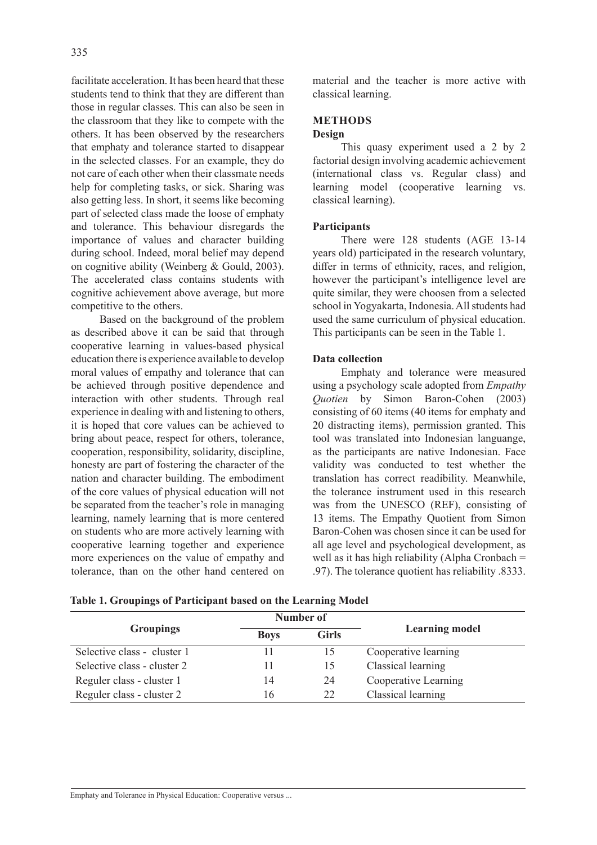facilitate acceleration. It has been heard that these students tend to think that they are different than those in regular classes. This can also be seen in the classroom that they like to compete with the others. It has been observed by the researchers that emphaty and tolerance started to disappear in the selected classes. For an example, they do not care of each other when their classmate needs help for completing tasks, or sick. Sharing was also getting less. In short, it seems like becoming part of selected class made the loose of emphaty and tolerance. This behaviour disregards the importance of values and character building during school. Indeed, moral belief may depend on cognitive ability (Weinberg & Gould, 2003). The accelerated class contains students with cognitive achievement above average, but more competitive to the others.

Based on the background of the problem as described above it can be said that through cooperative learning in values-based physical education there is experience available to develop moral values of empathy and tolerance that can be achieved through positive dependence and interaction with other students. Through real experience in dealing with and listening to others, it is hoped that core values can be achieved to bring about peace, respect for others, tolerance, cooperation, responsibility, solidarity, discipline, honesty are part of fostering the character of the nation and character building. The embodiment of the core values of physical education will not be separated from the teacher's role in managing learning, namely learning that is more centered on students who are more actively learning with cooperative learning together and experience more experiences on the value of empathy and tolerance, than on the other hand centered on material and the teacher is more active with classical learning.

# **METHODS**

### **Design**

This quasy experiment used a 2 by 2 factorial design involving academic achievement (international class vs. Regular class) and learning model (cooperative learning vs. classical learning).

### **Participants**

There were 128 students (AGE 13-14 years old) participated in the research voluntary, differ in terms of ethnicity, races, and religion, however the participant's intelligence level are quite similar, they were choosen from a selected school in Yogyakarta, Indonesia. All students had used the same curriculum of physical education. This participants can be seen in the Table 1.

## **Data collection**

Emphaty and tolerance were measured using a psychology scale adopted from *Empathy Quotien* by Simon Baron-Cohen (2003) consisting of 60 items (40 items for emphaty and 20 distracting items), permission granted. This tool was translated into Indonesian languange, as the participants are native Indonesian. Face validity was conducted to test whether the translation has correct readibility. Meanwhile, the tolerance instrument used in this research was from the UNESCO (REF), consisting of 13 items. The Empathy Quotient from Simon Baron-Cohen was chosen since it can be used for all age level and psychological development, as well as it has high reliability (Alpha Cronbach  $=$ .97). The tolerance quotient has reliability .8333.

|                             |             | Number of    |                       |  |
|-----------------------------|-------------|--------------|-----------------------|--|
| <b>Groupings</b>            | <b>Boys</b> | <b>Girls</b> | <b>Learning model</b> |  |
| Selective class - cluster 1 |             |              | Cooperative learning  |  |
| Selective class - cluster 2 |             | 15           | Classical learning    |  |
| Reguler class - cluster 1   | 14          | 24           | Cooperative Learning  |  |
| Reguler class - cluster 2   | 16          | 22           | Classical learning    |  |

**Table 1. Groupings of Participant based on the Learning Model**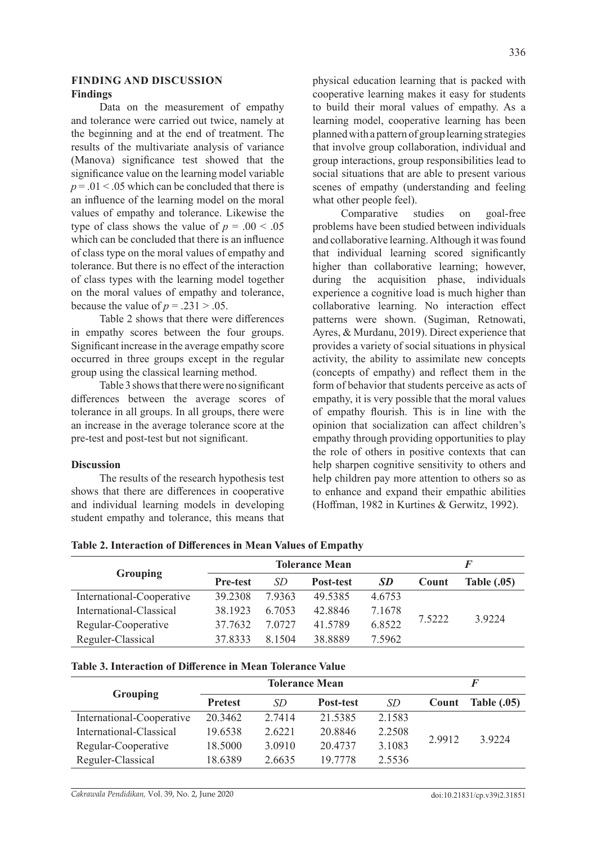### **FINDING AND DISCUSSION Findings**

Data on the measurement of empathy and tolerance were carried out twice, namely at the beginning and at the end of treatment. The results of the multivariate analysis of variance (Manova) significance test showed that the significance value on the learning model variable  $p = 0.01 \le 0.05$  which can be concluded that there is an influence of the learning model on the moral values of empathy and tolerance. Likewise the type of class shows the value of  $p = .00 < .05$ which can be concluded that there is an influence of class type on the moral values of empathy and tolerance. But there is no effect of the interaction of class types with the learning model together on the moral values of empathy and tolerance, because the value of  $p = .231 > .05$ .

Table 2 shows that there were differences in empathy scores between the four groups. Significant increase in the average empathy score occurred in three groups except in the regular group using the classical learning method.

Table 3 shows that there were no significant differences between the average scores of tolerance in all groups. In all groups, there were an increase in the average tolerance score at the pre-test and post-test but not significant.

### **Discussion**

The results of the research hypothesis test shows that there are differences in cooperative and individual learning models in developing student empathy and tolerance, this means that physical education learning that is packed with cooperative learning makes it easy for students to build their moral values of empathy. As a learning model, cooperative learning has been planned with a pattern of group learning strategies that involve group collaboration, individual and group interactions, group responsibilities lead to social situations that are able to present various scenes of empathy (understanding and feeling what other people feel).

Comparative studies on goal-free problems have been studied between individuals and collaborative learning. Although it was found that individual learning scored significantly higher than collaborative learning; however, during the acquisition phase, individuals experience a cognitive load is much higher than collaborative learning. No interaction effect patterns were shown. (Sugiman, Retnowati, Ayres, & Murdanu, 2019). Direct experience that provides a variety of social situations in physical activity, the ability to assimilate new concepts (concepts of empathy) and reflect them in the form of behavior that students perceive as acts of empathy, it is very possible that the moral values of empathy flourish. This is in line with the opinion that socialization can affect children's empathy through providing opportunities to play the role of others in positive contexts that can help sharpen cognitive sensitivity to others and help children pay more attention to others so as to enhance and expand their empathic abilities (Hoffman, 1982 in Kurtines & Gerwitz, 1992).

| Table 2. Interaction of Differences in Mean Values of Empathy |  |  |  |
|---------------------------------------------------------------|--|--|--|
|---------------------------------------------------------------|--|--|--|

|                           | <b>Tolerance Mean</b> |        |           |           | F      |                    |  |
|---------------------------|-----------------------|--------|-----------|-----------|--------|--------------------|--|
| <b>Grouping</b>           | <b>Pre-test</b>       | SD     | Post-test | <b>SD</b> | Count  | <b>Table (.05)</b> |  |
| International-Cooperative | 39.2308               | 7.9363 | 49.5385   | 4.6753    | 7.5222 | 3.9224             |  |
| International-Classical   | 38.1923               | 6.7053 | 42.8846   | 7.1678    |        |                    |  |
| Regular-Cooperative       | 37.7632               | 7.0727 | 41.5789   | 6.8522    |        |                    |  |
| Reguler-Classical         | 37.8333               | 8.1504 | 38.8889   | 7.5962    |        |                    |  |

| Table 3. Interaction of Difference in Mean Tolerance Value |  |  |  |  |
|------------------------------------------------------------|--|--|--|--|
|------------------------------------------------------------|--|--|--|--|

|                           |                | <b>Tolerance Mean</b> | F                |        |        |                    |
|---------------------------|----------------|-----------------------|------------------|--------|--------|--------------------|
| <b>Grouping</b>           | <b>Pretest</b> | SD.                   | <b>Post-test</b> | SD.    | Count  | <b>Table (.05)</b> |
| International-Cooperative | 20.3462        | 2.7414                | 21.5385          | 2.1583 |        | 3.9224             |
| International-Classical   | 19.6538        | 2.6221                | 20.8846          | 2.2508 |        |                    |
| Regular-Cooperative       | 18.5000        | 3.0910                | 20.4737          | 3.1083 | 2.9912 |                    |
| Reguler-Classical         | 18.6389        | 2.6635                | 19.7778          | 2.5536 |        |                    |

*Cakrawala Pendidikan,* Vol. 39, No. 2, June 2020 doi:10.21831/cp.v39i2.31851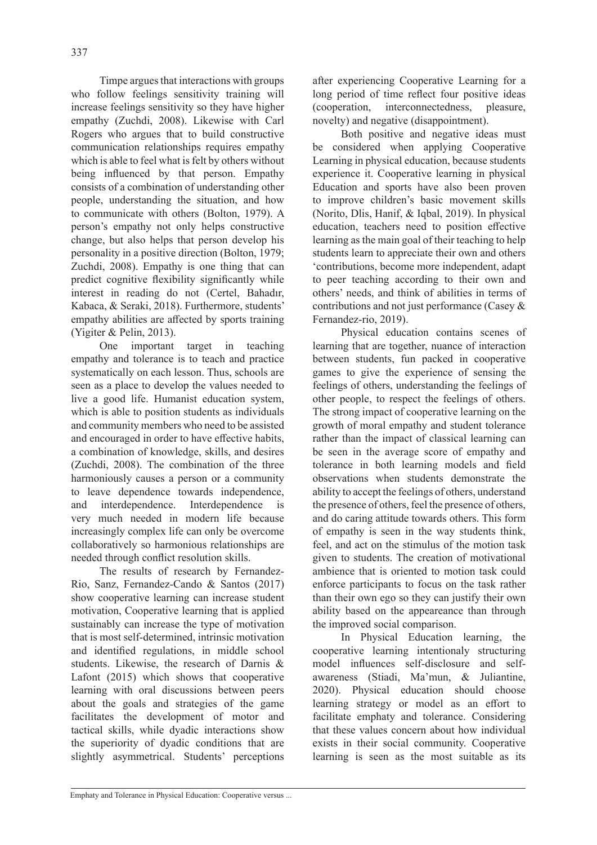Timpe argues that interactions with groups who follow feelings sensitivity training will increase feelings sensitivity so they have higher empathy (Zuchdi, 2008). Likewise with Carl Rogers who argues that to build constructive communication relationships requires empathy which is able to feel what is felt by others without being influenced by that person. Empathy consists of a combination of understanding other people, understanding the situation, and how to communicate with others (Bolton, 1979). A person's empathy not only helps constructive change, but also helps that person develop his personality in a positive direction (Bolton, 1979; Zuchdi, 2008). Empathy is one thing that can predict cognitive flexibility significantly while interest in reading do not (Certel, Bahadır, Kabaca, & Seraki, 2018). Furthermore, students' empathy abilities are affected by sports training (Yigiter & Pelin, 2013).

One important target in teaching empathy and tolerance is to teach and practice systematically on each lesson. Thus, schools are seen as a place to develop the values needed to live a good life. Humanist education system, which is able to position students as individuals and community members who need to be assisted and encouraged in order to have effective habits, a combination of knowledge, skills, and desires (Zuchdi, 2008). The combination of the three harmoniously causes a person or a community to leave dependence towards independence, and interdependence. Interdependence is very much needed in modern life because increasingly complex life can only be overcome collaboratively so harmonious relationships are needed through conflict resolution skills.

The results of research by Fernandez-Rio, Sanz, Fernandez-Cando & Santos (2017) show cooperative learning can increase student motivation, Cooperative learning that is applied sustainably can increase the type of motivation that is most self-determined, intrinsic motivation and identified regulations, in middle school students. Likewise, the research of Darnis & Lafont (2015) which shows that cooperative learning with oral discussions between peers about the goals and strategies of the game facilitates the development of motor and tactical skills, while dyadic interactions show the superiority of dyadic conditions that are slightly asymmetrical. Students' perceptions after experiencing Cooperative Learning for a long period of time reflect four positive ideas (cooperation, interconnectedness, pleasure, novelty) and negative (disappointment).

Both positive and negative ideas must be considered when applying Cooperative Learning in physical education, because students experience it. Cooperative learning in physical Education and sports have also been proven to improve children's basic movement skills (Norito, Dlis, Hanif, & Iqbal, 2019). In physical education, teachers need to position effective learning as the main goal of their teaching to help students learn to appreciate their own and others 'contributions, become more independent, adapt to peer teaching according to their own and others' needs, and think of abilities in terms of contributions and not just performance (Casey & Fernandez-rio, 2019).

Physical education contains scenes of learning that are together, nuance of interaction between students, fun packed in cooperative games to give the experience of sensing the feelings of others, understanding the feelings of other people, to respect the feelings of others. The strong impact of cooperative learning on the growth of moral empathy and student tolerance rather than the impact of classical learning can be seen in the average score of empathy and tolerance in both learning models and field observations when students demonstrate the ability to accept the feelings of others, understand the presence of others, feel the presence of others, and do caring attitude towards others. This form of empathy is seen in the way students think, feel, and act on the stimulus of the motion task given to students. The creation of motivational ambience that is oriented to motion task could enforce participants to focus on the task rather than their own ego so they can justify their own ability based on the appeareance than through the improved social comparison.

In Physical Education learning, the cooperative learning intentionaly structuring model influences self-disclosure and selfawareness (Stiadi, Ma'mun, & Juliantine, 2020). Physical education should choose learning strategy or model as an effort to facilitate emphaty and tolerance. Considering that these values concern about how individual exists in their social community. Cooperative learning is seen as the most suitable as its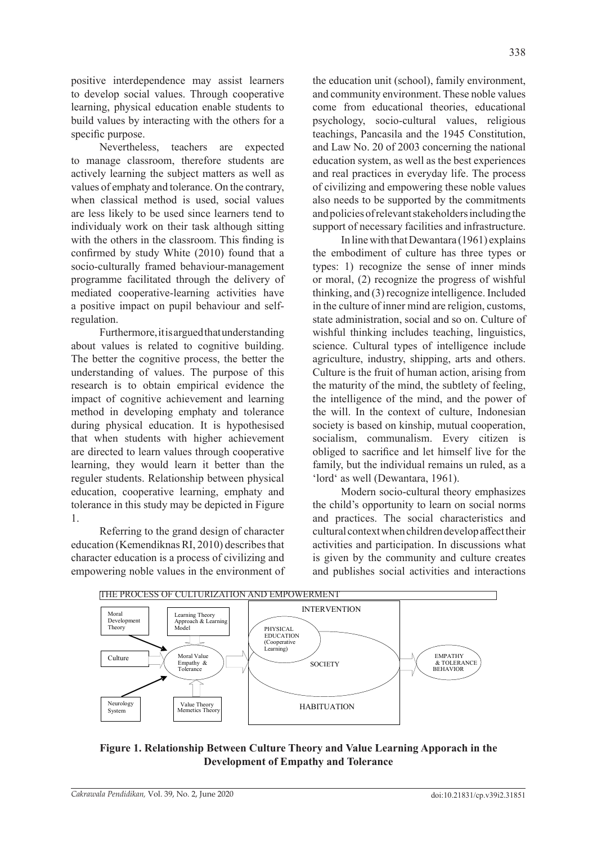positive interdependence may assist learners to develop social values. Through cooperative learning, physical education enable students to build values by interacting with the others for a specific purpose.

Nevertheless, teachers are expected to manage classroom, therefore students are actively learning the subject matters as well as values of emphaty and tolerance. On the contrary, when classical method is used, social values are less likely to be used since learners tend to individualy work on their task although sitting with the others in the classroom. This finding is confirmed by study White (2010) found that a socio-culturally framed behaviour-management programme facilitated through the delivery of mediated cooperative-learning activities have a positive impact on pupil behaviour and selfregulation.

Furthermore, it is argued that understanding about values is related to cognitive building. The better the cognitive process, the better the understanding of values. The purpose of this research is to obtain empirical evidence the impact of cognitive achievement and learning method in developing emphaty and tolerance during physical education. It is hypothesised that when students with higher achievement are directed to learn values through cooperative learning, they would learn it better than the reguler students. Relationship between physical education, cooperative learning, emphaty and tolerance in this study may be depicted in Figure 1.

Referring to the grand design of character education (Kemendiknas RI, 2010) describes that character education is a process of civilizing and empowering noble values in the environment of the education unit (school), family environment, and community environment. These noble values come from educational theories, educational psychology, socio-cultural values, religious teachings, Pancasila and the 1945 Constitution, and Law No. 20 of 2003 concerning the national education system, as well as the best experiences and real practices in everyday life. The process of civilizing and empowering these noble values also needs to be supported by the commitments and policies of relevant stakeholders including the support of necessary facilities and infrastructure.

In line with that Dewantara (1961) explains the embodiment of culture has three types or types: 1) recognize the sense of inner minds or moral, (2) recognize the progress of wishful thinking, and (3) recognize intelligence. Included in the culture of inner mind are religion, customs, state administration, social and so on. Culture of wishful thinking includes teaching, linguistics, science. Cultural types of intelligence include agriculture, industry, shipping, arts and others. Culture is the fruit of human action, arising from the maturity of the mind, the subtlety of feeling, the intelligence of the mind, and the power of the will. In the context of culture, Indonesian society is based on kinship, mutual cooperation, socialism, communalism. Every citizen is obliged to sacrifice and let himself live for the family, but the individual remains un ruled, as a 'lord' as well (Dewantara, 1961).

Modern socio-cultural theory emphasizes the child's opportunity to learn on social norms and practices. The social characteristics and cultural context when children develop affect their activities and participation. In discussions what is given by the community and culture creates and publishes social activities and interactions



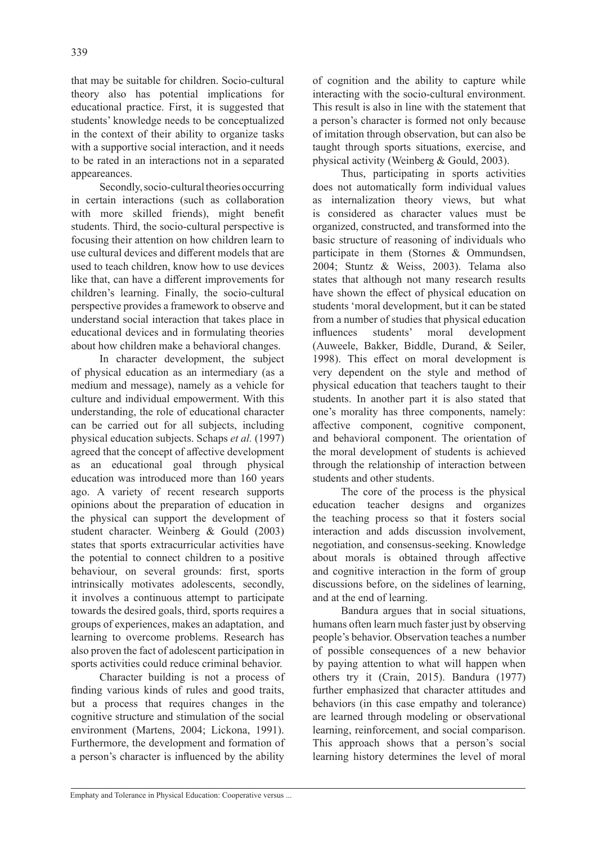that may be suitable for children. Socio-cultural theory also has potential implications for educational practice. First, it is suggested that students' knowledge needs to be conceptualized in the context of their ability to organize tasks with a supportive social interaction, and it needs to be rated in an interactions not in a separated appeareances.

Secondly, socio-cultural theories occurring in certain interactions (such as collaboration with more skilled friends), might benefit students. Third, the socio-cultural perspective is focusing their attention on how children learn to use cultural devices and different models that are used to teach children, know how to use devices like that, can have a different improvements for children's learning. Finally, the socio-cultural perspective provides a framework to observe and understand social interaction that takes place in educational devices and in formulating theories about how children make a behavioral changes.

In character development, the subject of physical education as an intermediary (as a medium and message), namely as a vehicle for culture and individual empowerment. With this understanding, the role of educational character can be carried out for all subjects, including physical education subjects. Schaps *et al.* (1997) agreed that the concept of affective development as an educational goal through physical education was introduced more than 160 years ago. A variety of recent research supports opinions about the preparation of education in the physical can support the development of student character. Weinberg & Gould (2003) states that sports extracurricular activities have the potential to connect children to a positive behaviour, on several grounds: first, sports intrinsically motivates adolescents, secondly, it involves a continuous attempt to participate towards the desired goals, third, sports requires a groups of experiences, makes an adaptation, and learning to overcome problems. Research has also proven the fact of adolescent participation in sports activities could reduce criminal behavior.

Character building is not a process of finding various kinds of rules and good traits, but a process that requires changes in the cognitive structure and stimulation of the social environment (Martens, 2004; Lickona, 1991). Furthermore, the development and formation of a person's character is influenced by the ability of cognition and the ability to capture while interacting with the socio-cultural environment. This result is also in line with the statement that a person's character is formed not only because of imitation through observation, but can also be taught through sports situations, exercise, and physical activity (Weinberg & Gould, 2003).

Thus, participating in sports activities does not automatically form individual values as internalization theory views, but what is considered as character values must be organized, constructed, and transformed into the basic structure of reasoning of individuals who participate in them (Stornes & Ommundsen, 2004; Stuntz & Weiss, 2003). Telama also states that although not many research results have shown the effect of physical education on students 'moral development, but it can be stated from a number of studies that physical education influences students' moral development (Auweele, Bakker, Biddle, Durand, & Seiler, 1998). This effect on moral development is very dependent on the style and method of physical education that teachers taught to their students. In another part it is also stated that one's morality has three components, namely: affective component, cognitive component, and behavioral component. The orientation of the moral development of students is achieved through the relationship of interaction between students and other students.

The core of the process is the physical education teacher designs and organizes the teaching process so that it fosters social interaction and adds discussion involvement, negotiation, and consensus-seeking. Knowledge about morals is obtained through affective and cognitive interaction in the form of group discussions before, on the sidelines of learning, and at the end of learning.

Bandura argues that in social situations, humans often learn much faster just by observing people's behavior. Observation teaches a number of possible consequences of a new behavior by paying attention to what will happen when others try it (Crain, 2015). Bandura (1977) further emphasized that character attitudes and behaviors (in this case empathy and tolerance) are learned through modeling or observational learning, reinforcement, and social comparison. This approach shows that a person's social learning history determines the level of moral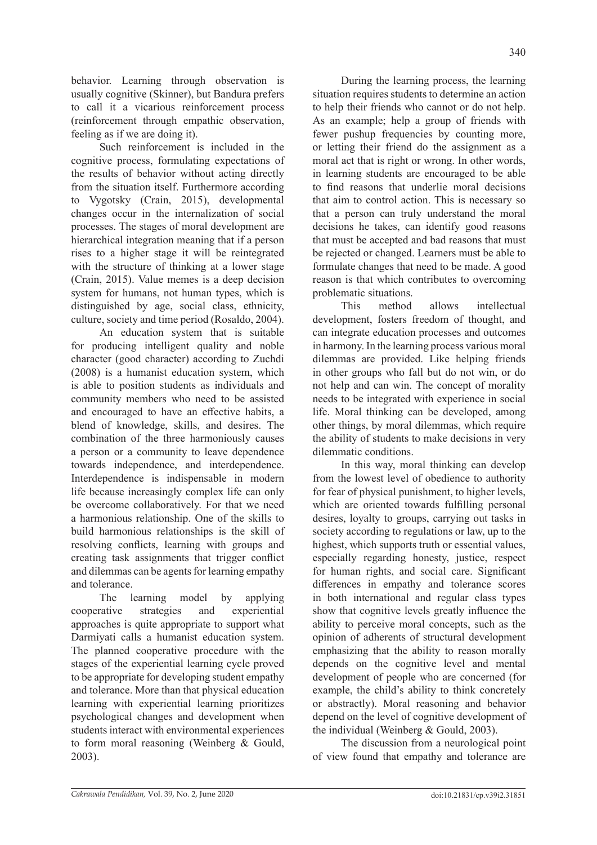behavior. Learning through observation is usually cognitive (Skinner), but Bandura prefers to call it a vicarious reinforcement process (reinforcement through empathic observation, feeling as if we are doing it).

Such reinforcement is included in the cognitive process, formulating expectations of the results of behavior without acting directly from the situation itself. Furthermore according to Vygotsky (Crain, 2015), developmental changes occur in the internalization of social processes. The stages of moral development are hierarchical integration meaning that if a person rises to a higher stage it will be reintegrated with the structure of thinking at a lower stage (Crain, 2015). Value memes is a deep decision system for humans, not human types, which is distinguished by age, social class, ethnicity, culture, society and time period (Rosaldo, 2004).

An education system that is suitable for producing intelligent quality and noble character (good character) according to Zuchdi (2008) is a humanist education system, which is able to position students as individuals and community members who need to be assisted and encouraged to have an effective habits, a blend of knowledge, skills, and desires. The combination of the three harmoniously causes a person or a community to leave dependence towards independence, and interdependence. Interdependence is indispensable in modern life because increasingly complex life can only be overcome collaboratively. For that we need a harmonious relationship. One of the skills to build harmonious relationships is the skill of resolving conflicts, learning with groups and creating task assignments that trigger conflict and dilemmas can be agents for learning empathy and tolerance.

The learning model by applying cooperative strategies and experiential approaches is quite appropriate to support what Darmiyati calls a humanist education system. The planned cooperative procedure with the stages of the experiential learning cycle proved to be appropriate for developing student empathy and tolerance. More than that physical education learning with experiential learning prioritizes psychological changes and development when students interact with environmental experiences to form moral reasoning (Weinberg & Gould, 2003).

During the learning process, the learning situation requires students to determine an action to help their friends who cannot or do not help. As an example; help a group of friends with fewer pushup frequencies by counting more, or letting their friend do the assignment as a moral act that is right or wrong. In other words, in learning students are encouraged to be able to find reasons that underlie moral decisions that aim to control action. This is necessary so that a person can truly understand the moral decisions he takes, can identify good reasons that must be accepted and bad reasons that must be rejected or changed. Learners must be able to formulate changes that need to be made. A good reason is that which contributes to overcoming problematic situations.

This method allows intellectual development, fosters freedom of thought, and can integrate education processes and outcomes in harmony. In the learning process various moral dilemmas are provided. Like helping friends in other groups who fall but do not win, or do not help and can win. The concept of morality needs to be integrated with experience in social life. Moral thinking can be developed, among other things, by moral dilemmas, which require the ability of students to make decisions in very dilemmatic conditions.

In this way, moral thinking can develop from the lowest level of obedience to authority for fear of physical punishment, to higher levels, which are oriented towards fulfilling personal desires, loyalty to groups, carrying out tasks in society according to regulations or law, up to the highest, which supports truth or essential values, especially regarding honesty, justice, respect for human rights, and social care. Significant differences in empathy and tolerance scores in both international and regular class types show that cognitive levels greatly influence the ability to perceive moral concepts, such as the opinion of adherents of structural development emphasizing that the ability to reason morally depends on the cognitive level and mental development of people who are concerned (for example, the child's ability to think concretely or abstractly). Moral reasoning and behavior depend on the level of cognitive development of the individual (Weinberg & Gould, 2003).

The discussion from a neurological point of view found that empathy and tolerance are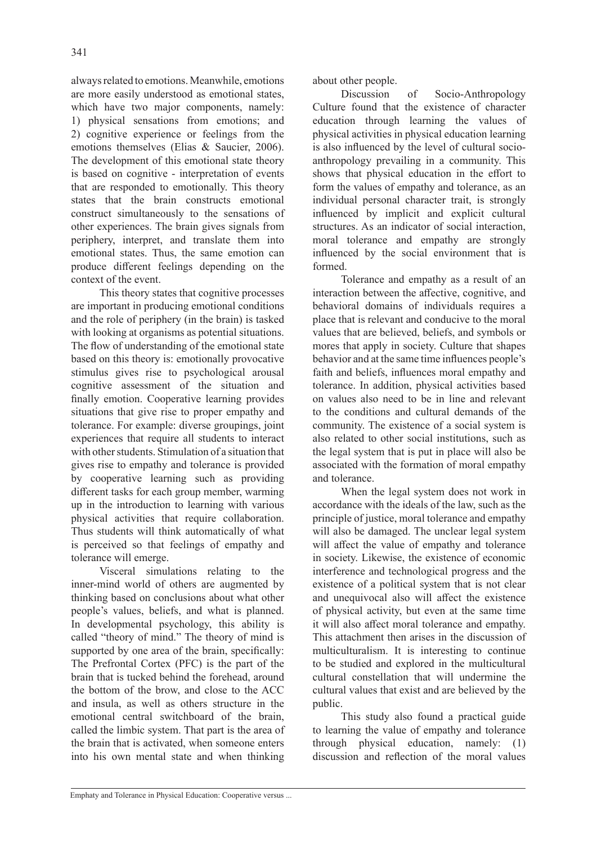always related to emotions. Meanwhile, emotions are more easily understood as emotional states, which have two major components, namely: 1) physical sensations from emotions; and 2) cognitive experience or feelings from the emotions themselves (Elias & Saucier, 2006). The development of this emotional state theory is based on cognitive - interpretation of events that are responded to emotionally. This theory states that the brain constructs emotional construct simultaneously to the sensations of other experiences. The brain gives signals from periphery, interpret, and translate them into emotional states. Thus, the same emotion can produce different feelings depending on the context of the event.

This theory states that cognitive processes are important in producing emotional conditions and the role of periphery (in the brain) is tasked with looking at organisms as potential situations. The flow of understanding of the emotional state based on this theory is: emotionally provocative stimulus gives rise to psychological arousal cognitive assessment of the situation and finally emotion. Cooperative learning provides situations that give rise to proper empathy and tolerance. For example: diverse groupings, joint experiences that require all students to interact with other students. Stimulation of a situation that gives rise to empathy and tolerance is provided by cooperative learning such as providing different tasks for each group member, warming up in the introduction to learning with various physical activities that require collaboration. Thus students will think automatically of what is perceived so that feelings of empathy and tolerance will emerge.

Visceral simulations relating to the inner-mind world of others are augmented by thinking based on conclusions about what other people's values, beliefs, and what is planned. In developmental psychology, this ability is called "theory of mind." The theory of mind is supported by one area of the brain, specifically: The Prefrontal Cortex (PFC) is the part of the brain that is tucked behind the forehead, around the bottom of the brow, and close to the ACC and insula, as well as others structure in the emotional central switchboard of the brain, called the limbic system. That part is the area of the brain that is activated, when someone enters into his own mental state and when thinking about other people.

Discussion of Socio-Anthropology Culture found that the existence of character education through learning the values of physical activities in physical education learning is also influenced by the level of cultural socioanthropology prevailing in a community. This shows that physical education in the effort to form the values of empathy and tolerance, as an individual personal character trait, is strongly influenced by implicit and explicit cultural structures. As an indicator of social interaction, moral tolerance and empathy are strongly influenced by the social environment that is formed.

Tolerance and empathy as a result of an interaction between the affective, cognitive, and behavioral domains of individuals requires a place that is relevant and conducive to the moral values that are believed, beliefs, and symbols or mores that apply in society. Culture that shapes behavior and at the same time influences people's faith and beliefs, influences moral empathy and tolerance. In addition, physical activities based on values also need to be in line and relevant to the conditions and cultural demands of the community. The existence of a social system is also related to other social institutions, such as the legal system that is put in place will also be associated with the formation of moral empathy and tolerance.

When the legal system does not work in accordance with the ideals of the law, such as the principle of justice, moral tolerance and empathy will also be damaged. The unclear legal system will affect the value of empathy and tolerance in society. Likewise, the existence of economic interference and technological progress and the existence of a political system that is not clear and unequivocal also will affect the existence of physical activity, but even at the same time it will also affect moral tolerance and empathy. This attachment then arises in the discussion of multiculturalism. It is interesting to continue to be studied and explored in the multicultural cultural constellation that will undermine the cultural values that exist and are believed by the public.

This study also found a practical guide to learning the value of empathy and tolerance through physical education, namely: (1) discussion and reflection of the moral values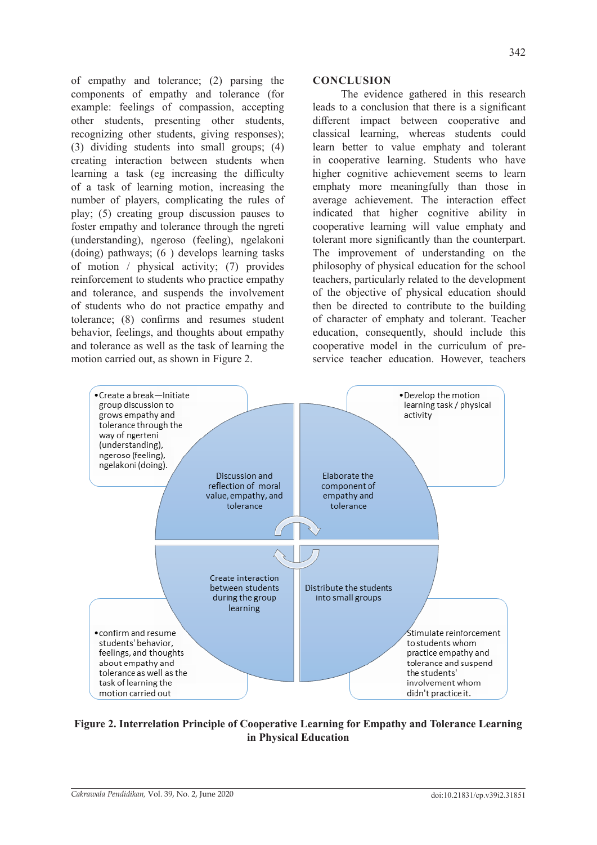of empathy and tolerance; (2) parsing the components of empathy and tolerance (for example: feelings of compassion, accepting other students, presenting other students, recognizing other students, giving responses); (3) dividing students into small groups; (4) creating interaction between students when learning a task (eg increasing the difficulty of a task of learning motion, increasing the number of players, complicating the rules of play; (5) creating group discussion pauses to foster empathy and tolerance through the ngreti (understanding), ngeroso (feeling), ngelakoni (doing) pathways; (6 ) develops learning tasks of motion / physical activity; (7) provides reinforcement to students who practice empathy and tolerance, and suspends the involvement of students who do not practice empathy and tolerance; (8) confirms and resumes student behavior, feelings, and thoughts about empathy and tolerance as well as the task of learning the motion carried out, as shown in Figure 2.

## **CONCLUSION**

The evidence gathered in this research leads to a conclusion that there is a significant different impact between cooperative and classical learning, whereas students could learn better to value emphaty and tolerant in cooperative learning. Students who have higher cognitive achievement seems to learn emphaty more meaningfully than those in average achievement. The interaction effect indicated that higher cognitive ability in cooperative learning will value emphaty and tolerant more significantly than the counterpart. The improvement of understanding on the philosophy of physical education for the school teachers, particularly related to the development of the objective of physical education should then be directed to contribute to the building of character of emphaty and tolerant. Teacher education, consequently, should include this cooperative model in the curriculum of preservice teacher education. However, teachers



**Figure 2. Interrelation Principle of Cooperative Learning for Empathy and Tolerance Learning in Physical Education**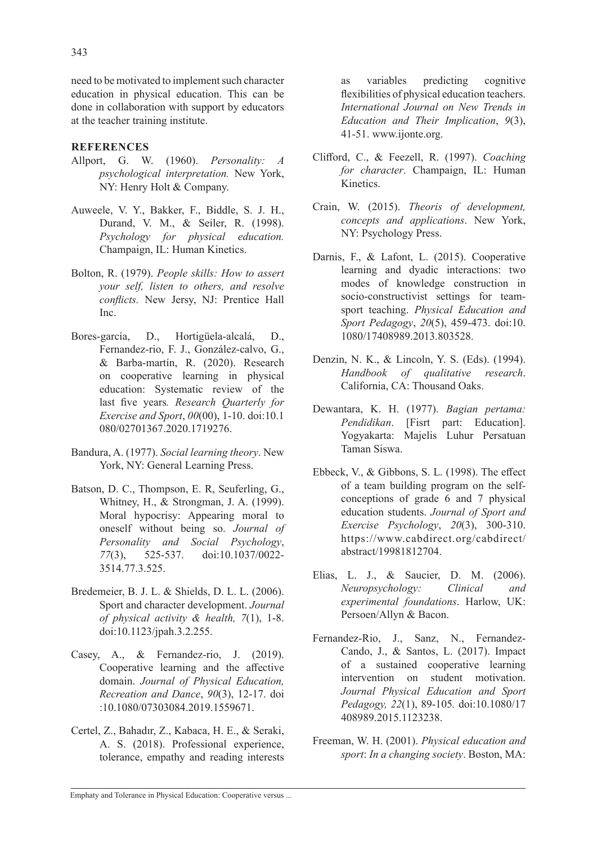need to be motivated to implement such character education in physical education. This can be done in collaboration with support by educators at the teacher training institute.

# **REFERENCES**

- Allport, G. W. (1960). *Personality: A psychological interpretation.* New York, NY: Henry Holt & Company.
- Auweele, V. Y., Bakker, F., Biddle, S. J. H., Durand, V. M., & Seiler, R. (1998). *Psychology for physical education.* Champaign, IL: Human Kinetics.
- Bolton, R. (1979). *People skills: How to assert your self, listen to others, and resolve conflicts.* New Jersy, NJ: Prentice Hall Inc.
- Bores-garcía, D., Hortigüela-alcalá, D., Fernandez-rio, F. J., González-calvo, G., & Barba-martín, R. (2020). Research on cooperative learning in physical education: Systematic review of the last five years*. Research Quarterly for Exercise and Sport*, *00*(00), 1-10. doi:10.1 080/02701367.2020.1719276.
- Bandura, A. (1977). *Social learning theory*. New York, NY: General Learning Press.
- Batson, D. C., Thompson, E. R, Seuferling, G., Whitney, H., & Strongman, J. A. (1999). Moral hypocrisy: Appearing moral to oneself without being so. *Journal of Personality and Social Psychology*, *77*(3), 525-537. doi:10.1037/0022- 3514.77.3.525.
- Bredemeier, B. J. L. & Shields, D. L. L. (2006). Sport and character development. *Journal of physical activity & health, 7*(1), 1-8. doi:10.1123/jpah.3.2.255.
- Casey, A., & Fernandez-rio, J. (2019). Cooperative learning and the affective domain. *Journal of Physical Education, Recreation and Dance*, *90*(3), 12-17. doi :10.1080/07303084.2019.1559671.
- Certel, Z., Bahadır, Z., Kabaca, H. E., & Seraki, A. S. (2018). Professional experience, tolerance, empathy and reading interests

as variables predicting cognitive flexibilities of physical education teachers. *International Journal on New Trends in Education and Their Implication*, *9*(3), 41-51. www.ijonte.org.

- Clifford, C., & Feezell, R. (1997). *Coaching for character*. Champaign, IL: Human Kinetics.
- Crain, W. (2015). *Theoris of development, concepts and applications*. New York, NY: Psychology Press.
- Darnis, F., & Lafont, L. (2015). Cooperative learning and dyadic interactions: two modes of knowledge construction in socio-constructivist settings for teamsport teaching. *Physical Education and Sport Pedagogy*, *20*(5), 459-473. doi:10. 1080/17408989.2013.803528.
- Denzin, N. K., & Lincoln, Y. S. (Eds). (1994). *Handbook of qualitative research*. California, CA: Thousand Oaks.
- Dewantara, K. H. (1977). *Bagian pertama: Pendidikan*. [Fisrt part: Education]. Yogyakarta: Majelis Luhur Persatuan Taman Siswa.
- Ebbeck, V., & Gibbons, S. L. (1998). The effect of a team building program on the selfconceptions of grade 6 and 7 physical education students. *Journal of Sport and Exercise Psychology*, *20*(3), 300-310. https://www.cabdirect.org/cabdirect/ abstract/19981812704.
- Elias, L. J., & Saucier, D. M. (2006). *Neuropsychology: Clinical and experimental foundations*. Harlow, UK: Persoen/Allyn & Bacon.
- Fernandez-Rio, J., Sanz, N., Fernandez-Cando, J., & Santos, L. (2017). Impact of a sustained cooperative learning intervention on student motivation. *Journal Physical Education and Sport Pedagogy, 22*(1), 89-105*.* doi:10.1080/17 408989.2015.1123238.
- Freeman, W. H. (2001). *Physical education and sport*: *In a changing society*. Boston, MA: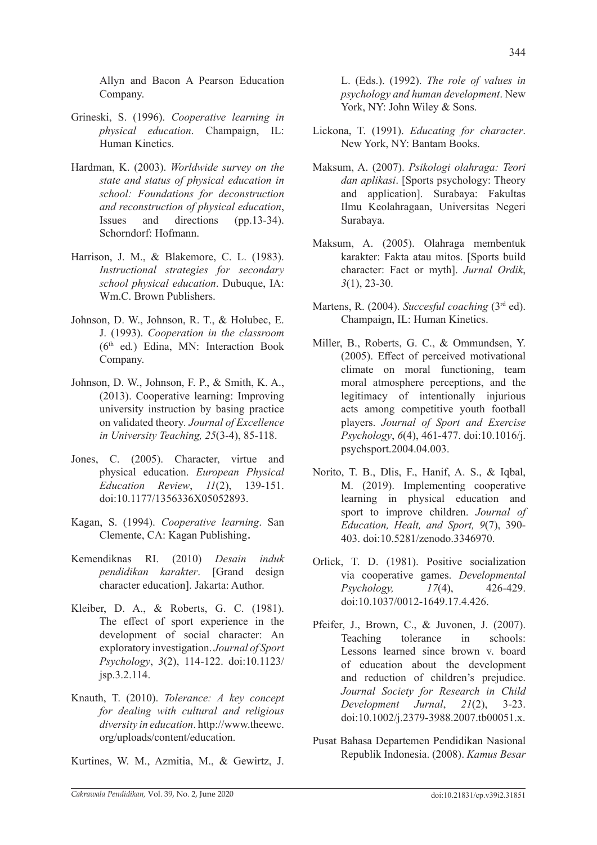Allyn and Bacon A Pearson Education Company.

- Grineski, S. (1996). *Cooperative learning in physical education*. Champaign, IL: Human Kinetics.
- Hardman, K. (2003). *Worldwide survey on the state and status of physical education in school: Foundations for deconstruction and reconstruction of physical education*, Issues and directions (pp.13-34). Schorndorf: Hofmann.
- Harrison, J. M., & Blakemore, C. L. (1983). *Instructional strategies for secondary school physical education*. Dubuque, IA: Wm.C. Brown Publishers.
- Johnson, D. W., Johnson, R. T., & Holubec, E. J. (1993). *Cooperation in the classroom* (6th ed*.*) Edina, MN: Interaction Book Company.
- Johnson, D. W., Johnson, F. P., & Smith, K. A., (2013). Cooperative learning: Improving university instruction by basing practice on validated theory*. Journal of Excellence in University Teaching, 25*(3-4), 85-118.
- Jones, C. (2005). Character, virtue and physical education. *European Physical Education Review*, *11*(2), 139-151. doi:10.1177/1356336X05052893.
- Kagan, S. (1994). *Cooperative learning*. San Clemente, CA: Kagan Publishing.
- Kemendiknas RI. (2010) *Desain induk pendidikan karakter*. [Grand design character education]. Jakarta: Author.
- Kleiber, D. A., & Roberts, G. C. (1981). The effect of sport experience in the development of social character: An exploratory investigation. *Journal of Sport Psychology*, *3*(2), 114-122. doi:10.1123/ jsp.3.2.114.
- Knauth, T. (2010). *Tolerance: A key concept for dealing with cultural and religious diversity in education*. http://www.theewc. org/uploads/content/education.

Kurtines, W. M., Azmitia, M., & Gewirtz, J.

L. (Eds.). (1992). *The role of values in psychology and human development*. New York, NY: John Wiley & Sons.

- Lickona, T. (1991). *Educating for character*. New York, NY: Bantam Books.
- Maksum, A. (2007). *Psikologi olahraga: Teori dan aplikasi*. [Sports psychology: Theory and application]. Surabaya: Fakultas Ilmu Keolahragaan, Universitas Negeri Surabaya.
- Maksum, A. (2005). Olahraga membentuk karakter: Fakta atau mitos. [Sports build character: Fact or myth]. *Jurnal Ordik*, *3*(1), 23-30.
- Martens, R. (2004). *Succesful coaching* (3<sup>rd</sup> ed). Champaign, IL: Human Kinetics.
- Miller, B., Roberts, G. C., & Ommundsen, Y. (2005). Effect of perceived motivational climate on moral functioning, team moral atmosphere perceptions, and the legitimacy of intentionally injurious acts among competitive youth football players. *Journal of Sport and Exercise Psychology*, *6*(4), 461-477. doi:10.1016/j. psychsport.2004.04.003.
- Norito, T. B., Dlis, F., Hanif, A. S., & Iqbal, M. (2019). Implementing cooperative learning in physical education and sport to improve children. *Journal of Education, Healt, and Sport, 9*(7), 390- 403. doi:10.5281/zenodo.3346970.
- Orlick, T. D. (1981). Positive socialization via cooperative games. *Developmental Psychology, 17*(4), 426-429. doi:10.1037/0012-1649.17.4.426.
- Pfeifer, J., Brown, C., & Juvonen, J. (2007). Teaching tolerance in schools: Lessons learned since brown v. board of education about the development and reduction of children's prejudice. *Journal Society for Research in Child Development Jurnal*, *21*(2), 3-23. doi:10.1002/j.2379-3988.2007.tb00051.x.
- Pusat Bahasa Departemen Pendidikan Nasional Republik Indonesia. (2008). *Kamus Besar*